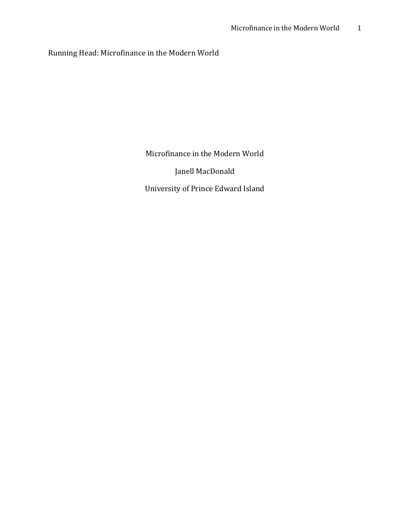### Running Head: Microfinance in the Modern World

Microfinance in the Modern World

Janell MacDonald

University of Prince Edward Island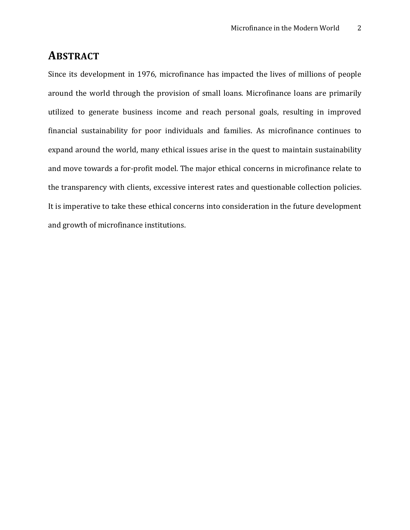# **ABSTRACT**

Since its development in 1976, microfinance has impacted the lives of millions of people around the world through the provision of small loans. Microfinance loans are primarily utilized to generate business income and reach personal goals, resulting in improved financial sustainability for poor individuals and families. As microfinance continues to expand around the world, many ethical issues arise in the quest to maintain sustainability and move towards a for-profit model. The major ethical concerns in microfinance relate to the transparency with clients, excessive interest rates and questionable collection policies. It is imperative to take these ethical concerns into consideration in the future development and growth of microfinance institutions.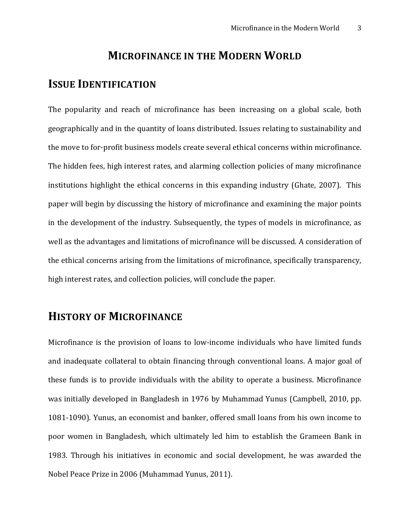## **MICROFINANCE IN THE MODERN WORLD**

# **ISSUE IDENTIFICATION**

The popularity and reach of microfinance has been increasing on a global scale, both geographically and in the quantity of loans distributed. Issues relating to sustainability and the move to for-profit business models create several ethical concerns within microfinance. The hidden fees, high interest rates, and alarming collection policies of many microfinance institutions highlight the ethical concerns in this expanding industry (Ghate, 2007). This paper will begin by discussing the history of microfinance and examining the major points in the development of the industry. Subsequently, the types of models in microfinance, as well as the advantages and limitations of microfinance will be discussed. A consideration of the ethical concerns arising from the limitations of microfinance, specifically transparency, high interest rates, and collection policies, will conclude the paper.

# **HISTORY OF MICROFINANCE**

Microfinance is the provision of loans to low-income individuals who have limited funds and inadequate collateral to obtain financing through conventional loans. A major goal of these funds is to provide individuals with the ability to operate a business. Microfinance was initially developed in Bangladesh in 1976 by Muhammad Yunus (Campbell, 2010, pp. 1081-1090). Yunus, an economist and banker, offered small loans from his own income to poor women in Bangladesh, which ultimately led him to establish the Grameen Bank in 1983. Through his initiatives in economic and social development, he was awarded the Nobel Peace Prize in 2006 (Muhammad Yunus, 2011).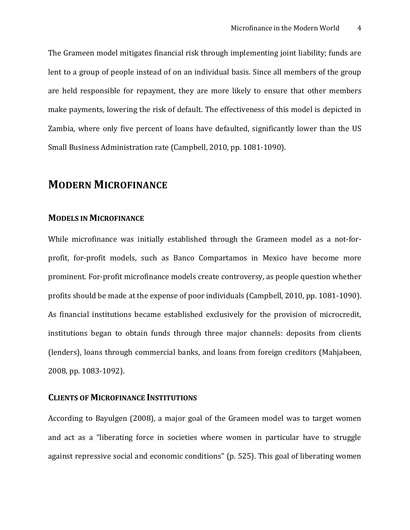The Grameen model mitigates financial risk through implementing joint liability; funds are lent to a group of people instead of on an individual basis. Since all members of the group are held responsible for repayment, they are more likely to ensure that other members make payments, lowering the risk of default. The effectiveness of this model is depicted in Zambia, where only five percent of loans have defaulted, significantly lower than the US Small Business Administration rate (Campbell, 2010, pp. 1081-1090).

# **MODERN MICROFINANCE**

### **MODELS IN MICROFINANCE**

While microfinance was initially established through the Grameen model as a not-forprofit, for-profit models, such as Banco Compartamos in Mexico have become more prominent. For-profit microfinance models create controversy, as people question whether profits should be made at the expense of poor individuals (Campbell, 2010, pp. 1081-1090). As financial institutions became established exclusively for the provision of microcredit, institutions began to obtain funds through three major channels: deposits from clients (lenders), loans through commercial banks, and loans from foreign creditors (Mahjabeen, 2008, pp. 1083-1092).

### **CLIENTS OF MICROFINANCE INSTITUTIONS**

According to Bayulgen (2008), a major goal of the Grameen model was to target women and act as a "liberating force in societies where women in particular have to struggle against repressive social and economic conditions" (p. 525). This goal of liberating women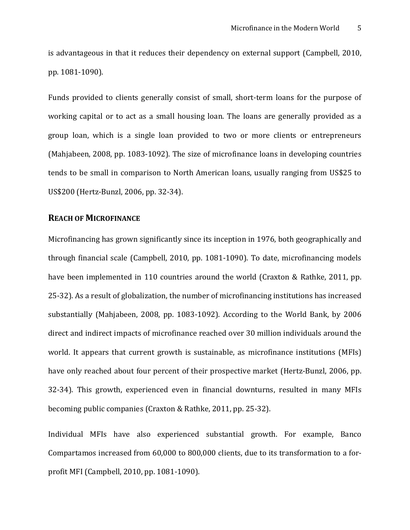is advantageous in that it reduces their dependency on external support (Campbell, 2010, pp. 1081-1090).

Funds provided to clients generally consist of small, short-term loans for the purpose of working capital or to act as a small housing loan. The loans are generally provided as a group loan, which is a single loan provided to two or more clients or entrepreneurs (Mahjabeen, 2008, pp. 1083-1092). The size of microfinance loans in developing countries tends to be small in comparison to North American loans, usually ranging from US\$25 to US\$200 (Hertz-Bunzl, 2006, pp. 32-34).

### **REACH OF MICROFINANCE**

Microfinancing has grown significantly since its inception in 1976, both geographically and through financial scale (Campbell, 2010, pp. 1081-1090). To date, microfinancing models have been implemented in 110 countries around the world (Craxton & Rathke, 2011, pp. 25-32). As a result of globalization, the number of microfinancing institutions has increased substantially (Mahjabeen, 2008, pp. 1083-1092). According to the World Bank, by 2006 direct and indirect impacts of microfinance reached over 30 million individuals around the world. It appears that current growth is sustainable, as microfinance institutions (MFIs) have only reached about four percent of their prospective market (Hertz-Bunzl, 2006, pp. 32-34). This growth, experienced even in financial downturns, resulted in many MFIs becoming public companies (Craxton & Rathke, 2011, pp. 25-32).

Individual MFIs have also experienced substantial growth. For example, Banco Compartamos increased from 60,000 to 800,000 clients, due to its transformation to a forprofit MFI (Campbell, 2010, pp. 1081-1090).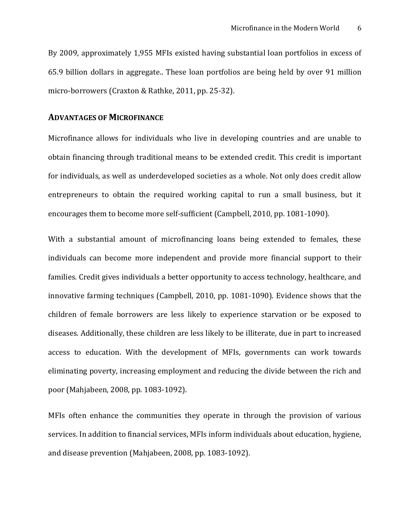By 2009, approximately 1,955 MFIs existed having substantial loan portfolios in excess of 65.9 billion dollars in aggregate.. These loan portfolios are being held by over 91 million micro-borrowers (Craxton & Rathke, 2011, pp. 25-32).

#### **ADVANTAGES OF MICROFINANCE**

Microfinance allows for individuals who live in developing countries and are unable to obtain financing through traditional means to be extended credit. This credit is important for individuals, as well as underdeveloped societies as a whole. Not only does credit allow entrepreneurs to obtain the required working capital to run a small business, but it encourages them to become more self-sufficient (Campbell, 2010, pp. 1081-1090).

With a substantial amount of microfinancing loans being extended to females, these individuals can become more independent and provide more financial support to their families. Credit gives individuals a better opportunity to access technology, healthcare, and innovative farming techniques (Campbell, 2010, pp. 1081-1090). Evidence shows that the children of female borrowers are less likely to experience starvation or be exposed to diseases. Additionally, these children are less likely to be illiterate, due in part to increased access to education. With the development of MFIs, governments can work towards eliminating poverty, increasing employment and reducing the divide between the rich and poor (Mahjabeen, 2008, pp. 1083-1092).

MFIs often enhance the communities they operate in through the provision of various services. In addition to financial services, MFIs inform individuals about education, hygiene, and disease prevention (Mahjabeen, 2008, pp. 1083-1092).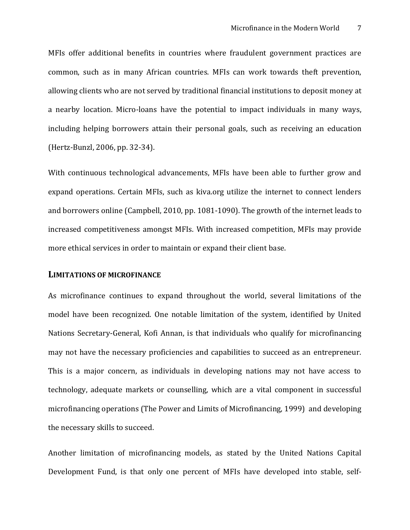MFIs offer additional benefits in countries where fraudulent government practices are common, such as in many African countries. MFIs can work towards theft prevention, allowing clients who are not served by traditional financial institutions to deposit money at a nearby location. Micro-loans have the potential to impact individuals in many ways, including helping borrowers attain their personal goals, such as receiving an education (Hertz-Bunzl, 2006, pp. 32-34).

With continuous technological advancements, MFIs have been able to further grow and expand operations. Certain MFIs, such as kiva.org utilize the internet to connect lenders and borrowers online (Campbell, 2010, pp. 1081-1090). The growth of the internet leads to increased competitiveness amongst MFIs. With increased competition, MFIs may provide more ethical services in order to maintain or expand their client base.

#### **LIMITATIONS OF MICROFINANCE**

As microfinance continues to expand throughout the world, several limitations of the model have been recognized. One notable limitation of the system, identified by United Nations Secretary-General, Kofi Annan, is that individuals who qualify for microfinancing may not have the necessary proficiencies and capabilities to succeed as an entrepreneur. This is a major concern, as individuals in developing nations may not have access to technology, adequate markets or counselling, which are a vital component in successful microfinancing operations (The Power and Limits of Microfinancing, 1999) and developing the necessary skills to succeed.

Another limitation of microfinancing models, as stated by the United Nations Capital Development Fund, is that only one percent of MFIs have developed into stable, self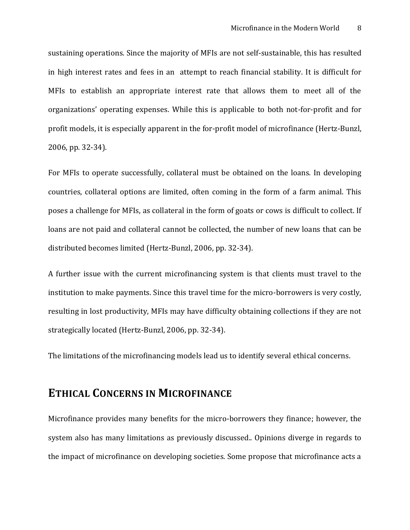sustaining operations. Since the majority of MFIs are not self-sustainable, this has resulted in high interest rates and fees in an attempt to reach financial stability. It is difficult for MFIs to establish an appropriate interest rate that allows them to meet all of the organizations' operating expenses. While this is applicable to both not-for-profit and for profit models, it is especially apparent in the for-profit model of microfinance (Hertz-Bunzl, 2006, pp. 32-34).

For MFIs to operate successfully, collateral must be obtained on the loans. In developing countries, collateral options are limited, often coming in the form of a farm animal. This poses a challenge for MFIs, as collateral in the form of goats or cows is difficult to collect. If loans are not paid and collateral cannot be collected, the number of new loans that can be distributed becomes limited (Hertz-Bunzl, 2006, pp. 32-34).

A further issue with the current microfinancing system is that clients must travel to the institution to make payments. Since this travel time for the micro-borrowers is very costly, resulting in lost productivity, MFIs may have difficulty obtaining collections if they are not strategically located (Hertz-Bunzl, 2006, pp. 32-34).

The limitations of the microfinancing models lead us to identify several ethical concerns.

# **ETHICAL CONCERNS IN MICROFINANCE**

Microfinance provides many benefits for the micro-borrowers they finance; however, the system also has many limitations as previously discussed.. Opinions diverge in regards to the impact of microfinance on developing societies. Some propose that microfinance acts a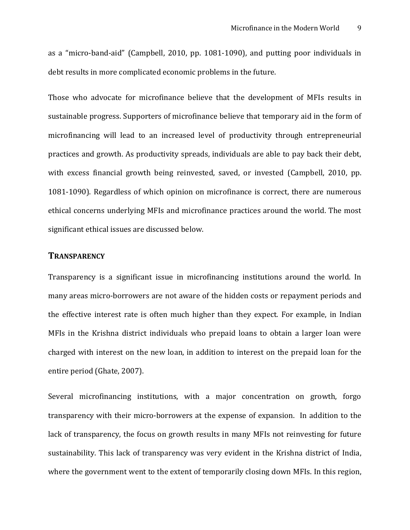as a "micro-band-aid" (Campbell, 2010, pp. 1081-1090), and putting poor individuals in debt results in more complicated economic problems in the future.

Those who advocate for microfinance believe that the development of MFIs results in sustainable progress. Supporters of microfinance believe that temporary aid in the form of microfinancing will lead to an increased level of productivity through entrepreneurial practices and growth. As productivity spreads, individuals are able to pay back their debt, with excess financial growth being reinvested, saved, or invested (Campbell, 2010, pp. 1081-1090). Regardless of which opinion on microfinance is correct, there are numerous ethical concerns underlying MFIs and microfinance practices around the world. The most significant ethical issues are discussed below.

### **TRANSPARENCY**

Transparency is a significant issue in microfinancing institutions around the world. In many areas micro-borrowers are not aware of the hidden costs or repayment periods and the effective interest rate is often much higher than they expect. For example, in Indian MFIs in the Krishna district individuals who prepaid loans to obtain a larger loan were charged with interest on the new loan, in addition to interest on the prepaid loan for the entire period (Ghate, 2007).

Several microfinancing institutions, with a major concentration on growth, forgo transparency with their micro-borrowers at the expense of expansion. In addition to the lack of transparency, the focus on growth results in many MFIs not reinvesting for future sustainability. This lack of transparency was very evident in the Krishna district of India, where the government went to the extent of temporarily closing down MFIs. In this region,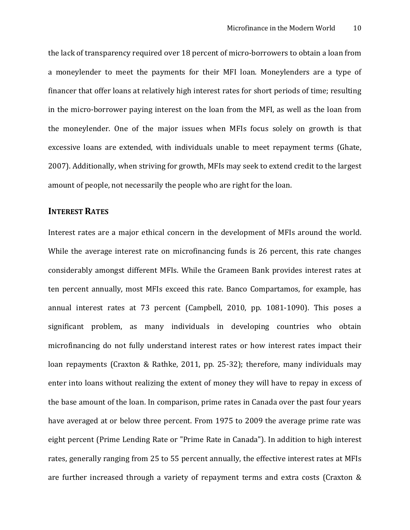the lack of transparency required over 18 percent of micro-borrowers to obtain a loan from a moneylender to meet the payments for their MFI loan. Moneylenders are a type of financer that offer loans at relatively high interest rates for short periods of time; resulting in the micro-borrower paying interest on the loan from the MFI, as well as the loan from the moneylender. One of the major issues when MFIs focus solely on growth is that excessive loans are extended, with individuals unable to meet repayment terms (Ghate, 2007). Additionally, when striving for growth, MFIs may seek to extend credit to the largest amount of people, not necessarily the people who are right for the loan.

### **INTEREST RATES**

Interest rates are a major ethical concern in the development of MFIs around the world. While the average interest rate on microfinancing funds is 26 percent, this rate changes considerably amongst different MFIs. While the Grameen Bank provides interest rates at ten percent annually, most MFIs exceed this rate. Banco Compartamos, for example, has annual interest rates at 73 percent (Campbell, 2010, pp. 1081-1090). This poses a significant problem, as many individuals in developing countries who obtain microfinancing do not fully understand interest rates or how interest rates impact their loan repayments (Craxton & Rathke, 2011, pp. 25-32); therefore, many individuals may enter into loans without realizing the extent of money they will have to repay in excess of the base amount of the loan. In comparison, prime rates in Canada over the past four years have averaged at or below three percent. From 1975 to 2009 the average prime rate was eight percent (Prime Lending Rate or "Prime Rate in Canada"). In addition to high interest rates, generally ranging from 25 to 55 percent annually, the effective interest rates at MFIs are further increased through a variety of repayment terms and extra costs (Craxton &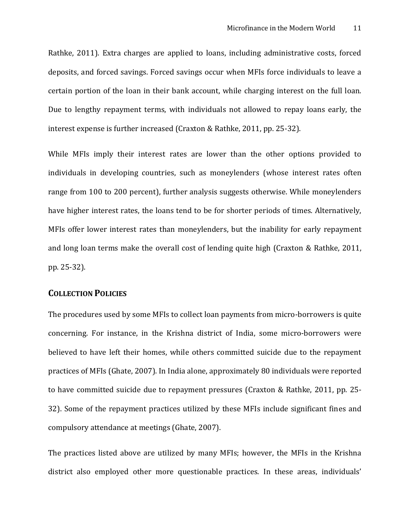Rathke, 2011). Extra charges are applied to loans, including administrative costs, forced deposits, and forced savings. Forced savings occur when MFIs force individuals to leave a certain portion of the loan in their bank account, while charging interest on the full loan. Due to lengthy repayment terms, with individuals not allowed to repay loans early, the interest expense is further increased (Craxton & Rathke, 2011, pp. 25-32).

While MFIs imply their interest rates are lower than the other options provided to individuals in developing countries, such as moneylenders (whose interest rates often range from 100 to 200 percent), further analysis suggests otherwise. While moneylenders have higher interest rates, the loans tend to be for shorter periods of times. Alternatively, MFIs offer lower interest rates than moneylenders, but the inability for early repayment and long loan terms make the overall cost of lending quite high (Craxton & Rathke, 2011, pp. 25-32).

#### **COLLECTION POLICIES**

The procedures used by some MFIs to collect loan payments from micro-borrowers is quite concerning. For instance, in the Krishna district of India, some micro-borrowers were believed to have left their homes, while others committed suicide due to the repayment practices of MFIs (Ghate, 2007). In India alone, approximately 80 individuals were reported to have committed suicide due to repayment pressures (Craxton & Rathke, 2011, pp. 25- 32). Some of the repayment practices utilized by these MFIs include significant fines and compulsory attendance at meetings (Ghate, 2007).

The practices listed above are utilized by many MFIs; however, the MFIs in the Krishna district also employed other more questionable practices. In these areas, individuals'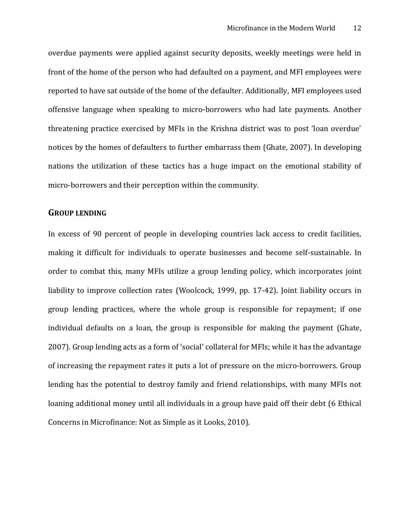overdue payments were applied against security deposits, weekly meetings were held in front of the home of the person who had defaulted on a payment, and MFI employees were reported to have sat outside of the home of the defaulter. Additionally, MFI employees used offensive language when speaking to micro-borrowers who had late payments. Another threatening practice exercised by MFIs in the Krishna district was to post 'loan overdue' notices by the homes of defaulters to further embarrass them (Ghate, 2007). In developing nations the utilization of these tactics has a huge impact on the emotional stability of micro-borrowers and their perception within the community.

#### **GROUP LENDING**

In excess of 90 percent of people in developing countries lack access to credit facilities, making it difficult for individuals to operate businesses and become self-sustainable. In order to combat this, many MFIs utilize a group lending policy, which incorporates joint liability to improve collection rates (Woolcock, 1999, pp. 17-42). Joint liability occurs in group lending practices, where the whole group is responsible for repayment; if one individual defaults on a loan, the group is responsible for making the payment (Ghate, 2007). Group lending acts as a form of 'social' collateral for MFIs; while it has the advantage of increasing the repayment rates it puts a lot of pressure on the micro-borrowers. Group lending has the potential to destroy family and friend relationships, with many MFIs not loaning additional money until all individuals in a group have paid off their debt (6 Ethical Concerns in Microfinance: Not as Simple as it Looks, 2010).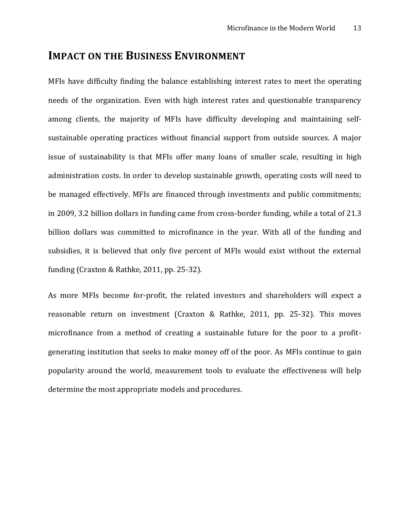## **IMPACT ON THE BUSINESS ENVIRONMENT**

MFIs have difficulty finding the balance establishing interest rates to meet the operating needs of the organization. Even with high interest rates and questionable transparency among clients, the majority of MFIs have difficulty developing and maintaining selfsustainable operating practices without financial support from outside sources. A major issue of sustainability is that MFIs offer many loans of smaller scale, resulting in high administration costs. In order to develop sustainable growth, operating costs will need to be managed effectively. MFIs are financed through investments and public commitments; in 2009, 3.2 billion dollars in funding came from cross-border funding, while a total of 21.3 billion dollars was committed to microfinance in the year. With all of the funding and subsidies, it is believed that only five percent of MFIs would exist without the external funding (Craxton & Rathke, 2011, pp. 25-32).

As more MFIs become for-profit, the related investors and shareholders will expect a reasonable return on investment (Craxton & Rathke, 2011, pp. 25-32). This moves microfinance from a method of creating a sustainable future for the poor to a profitgenerating institution that seeks to make money off of the poor. As MFIs continue to gain popularity around the world, measurement tools to evaluate the effectiveness will help determine the most appropriate models and procedures.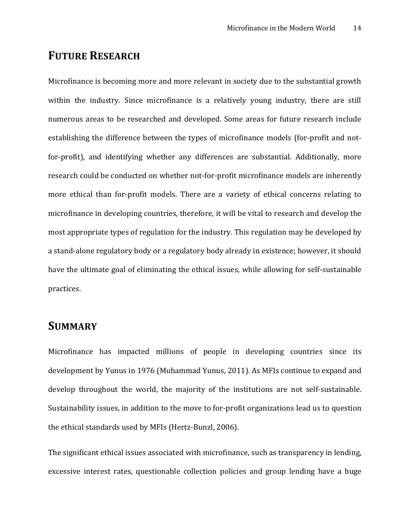## **FUTURE RESEARCH**

Microfinance is becoming more and more relevant in society due to the substantial growth within the industry. Since microfinance is a relatively young industry, there are still numerous areas to be researched and developed. Some areas for future research include establishing the difference between the types of microfinance models (for-profit and notfor-profit), and identifying whether any differences are substantial. Additionally, more research could be conducted on whether not-for-profit microfinance models are inherently more ethical than for-profit models. There are a variety of ethical concerns relating to microfinance in developing countries, therefore, it will be vital to research and develop the most appropriate types of regulation for the industry. This regulation may be developed by a stand-alone regulatory body or a regulatory body already in existence; however, it should have the ultimate goal of eliminating the ethical issues, while allowing for self-sustainable practices.

## **SUMMARY**

Microfinance has impacted millions of people in developing countries since its development by Yunus in 1976 (Muhammad Yunus, 2011). As MFIs continue to expand and develop throughout the world, the majority of the institutions are not self-sustainable. Sustainability issues, in addition to the move to for-profit organizations lead us to question the ethical standards used by MFIs (Hertz-Bunzl, 2006).

The significant ethical issues associated with microfinance, such as transparency in lending, excessive interest rates, questionable collection policies and group lending have a huge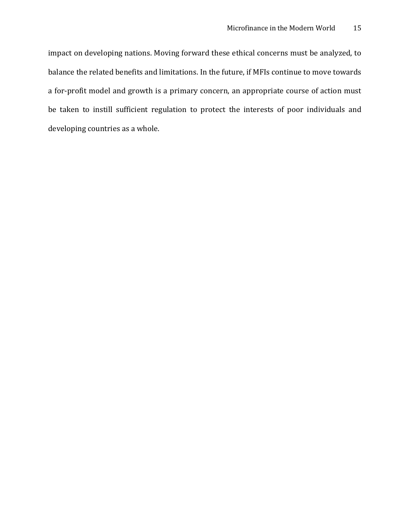impact on developing nations. Moving forward these ethical concerns must be analyzed, to balance the related benefits and limitations. In the future, if MFIs continue to move towards a for-profit model and growth is a primary concern, an appropriate course of action must be taken to instill sufficient regulation to protect the interests of poor individuals and developing countries as a whole.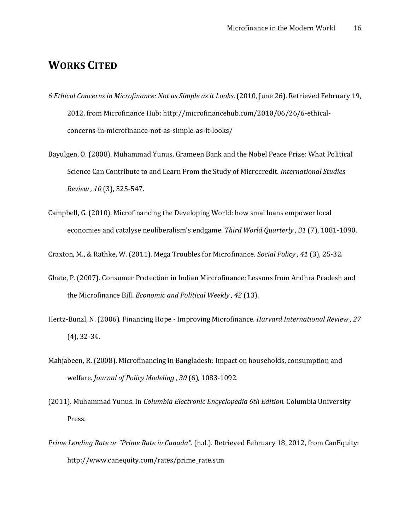# **WORKS CITED**

- *6 Ethical Concerns in Microfinance: Not as Simple as it Looks*. (2010, June 26). Retrieved February 19, 2012, from Microfinance Hub: http://microfinancehub.com/2010/06/26/6-ethicalconcerns-in-microfinance-not-as-simple-as-it-looks/
- Bayulgen, O. (2008). Muhammad Yunus, Grameen Bank and the Nobel Peace Prize: What Political Science Can Contribute to and Learn From the Study of Microcredit. *International Studies Review , 10* (3), 525-547.
- Campbell, G. (2010). Microfinancing the Developing World: how smal loans empower local economies and catalyse neoliberalism's endgame. *Third World Quarterly , 31* (7), 1081-1090.

Craxton, M., & Rathke, W. (2011). Mega Troubles for Microfinance. *Social Policy , 41* (3), 25-32.

- Ghate, P. (2007). Consumer Protection in Indian Mircrofinance: Lessons from Andhra Pradesh and the Microfinance Bill. *Economic and Political Weekly , 42* (13).
- Hertz-Bunzl, N. (2006). Financing Hope Improving Microfinance. *Harvard International Review , 27* (4), 32-34.
- Mahjabeen, R. (2008). Microfinancing in Bangladesh: Impact on households, consumption and welfare. *Journal of Policy Modeling , 30* (6), 1083-1092.
- (2011). Muhammad Yunus. In *Columbia Electronic Encyclopedia 6th Edition.* Columbia University Press.
- *Prime Lending Rate or "Prime Rate in Canada"*. (n.d.). Retrieved February 18, 2012, from CanEquity: http://www.canequity.com/rates/prime\_rate.stm